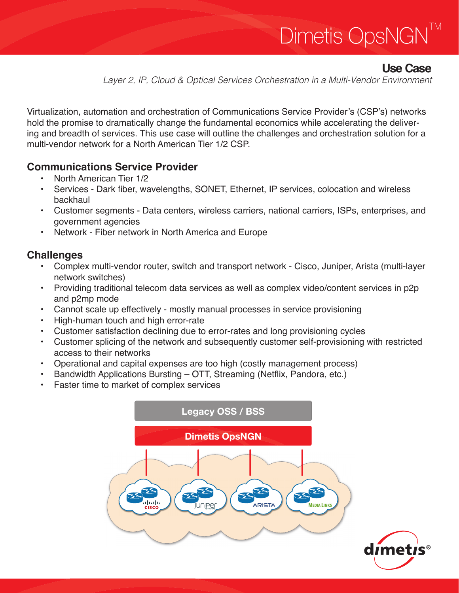# Dimetis OpsNGN TM

# **Use Case**

*Layer 2, IP, Cloud & Optical Services Orchestration in a Multi-Vendor Environment*

Virtualization, automation and orchestration of Communications Service Provider's (CSP's) networks hold the promise to dramatically change the fundamental economics while accelerating the delivering and breadth of services. This use case will outline the challenges and orchestration solution for a multi-vendor network for a North American Tier 1/2 CSP.

#### **Communications Service Provider**

- North American Tier 1/2
- Services Dark fiber, wavelengths, SONET, Ethernet, IP services, colocation and wireless backhaul
- Customer segments Data centers, wireless carriers, national carriers, ISPs, enterprises, and government agencies
- Network Fiber network in North America and Europe

### **Challenges**

- Complex multi-vendor router, switch and transport network Cisco, Juniper, Arista (multi-layer network switches)
- Providing traditional telecom data services as well as complex video/content services in p2p and p2mp mode
- Cannot scale up effectively mostly manual processes in service provisioning
- High-human touch and high error-rate
- Customer satisfaction declining due to error-rates and long provisioning cycles
- Customer splicing of the network and subsequently customer self-provisioning with restricted access to their networks
- Operational and capital expenses are too high (costly management process)
- Bandwidth Applications Bursting OTT, Streaming (Netflix, Pandora, etc.)
- Faster time to market of complex services

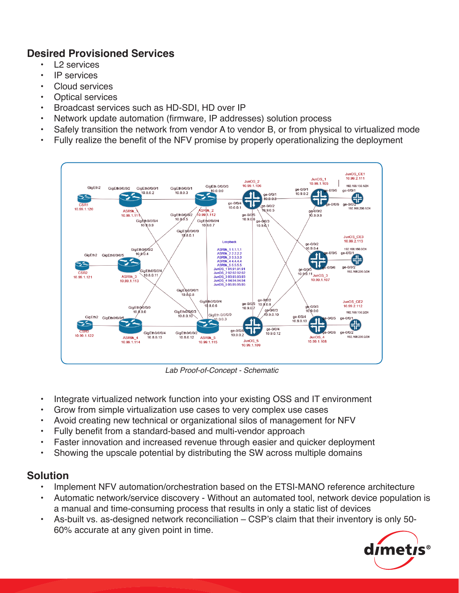### **Desired Provisioned Services**

- L<sub>2</sub> services
- IP services
- Cloud services
- Optical services
- Broadcast services such as HD-SDI, HD over IP
- Network update automation (firmware, IP addresses) solution process
- Safely transition the network from vendor A to vendor B, or from physical to virtualized mode
- Fully realize the benefit of the NFV promise by properly operationalizing the deployment



*Lab Proof-of-Concept - Schematic*

- Integrate virtualized network function into your existing OSS and IT environment
- Grow from simple virtualization use cases to very complex use cases
- Avoid creating new technical or organizational silos of management for NFV
- Fully benefit from a standard-based and multi-vendor approach
- Faster innovation and increased revenue through easier and quicker deployment
- Showing the upscale potential by distributing the SW across multiple domains

#### **Solution**

- Implement NFV automation/orchestration based on the ETSI-MANO reference architecture
- Automatic network/service discovery Without an automated tool, network device population is a manual and time-consuming process that results in only a static list of devices
- As-built vs. as-designed network reconciliation CSP's claim that their inventory is only 50- 60% accurate at any given point in time.